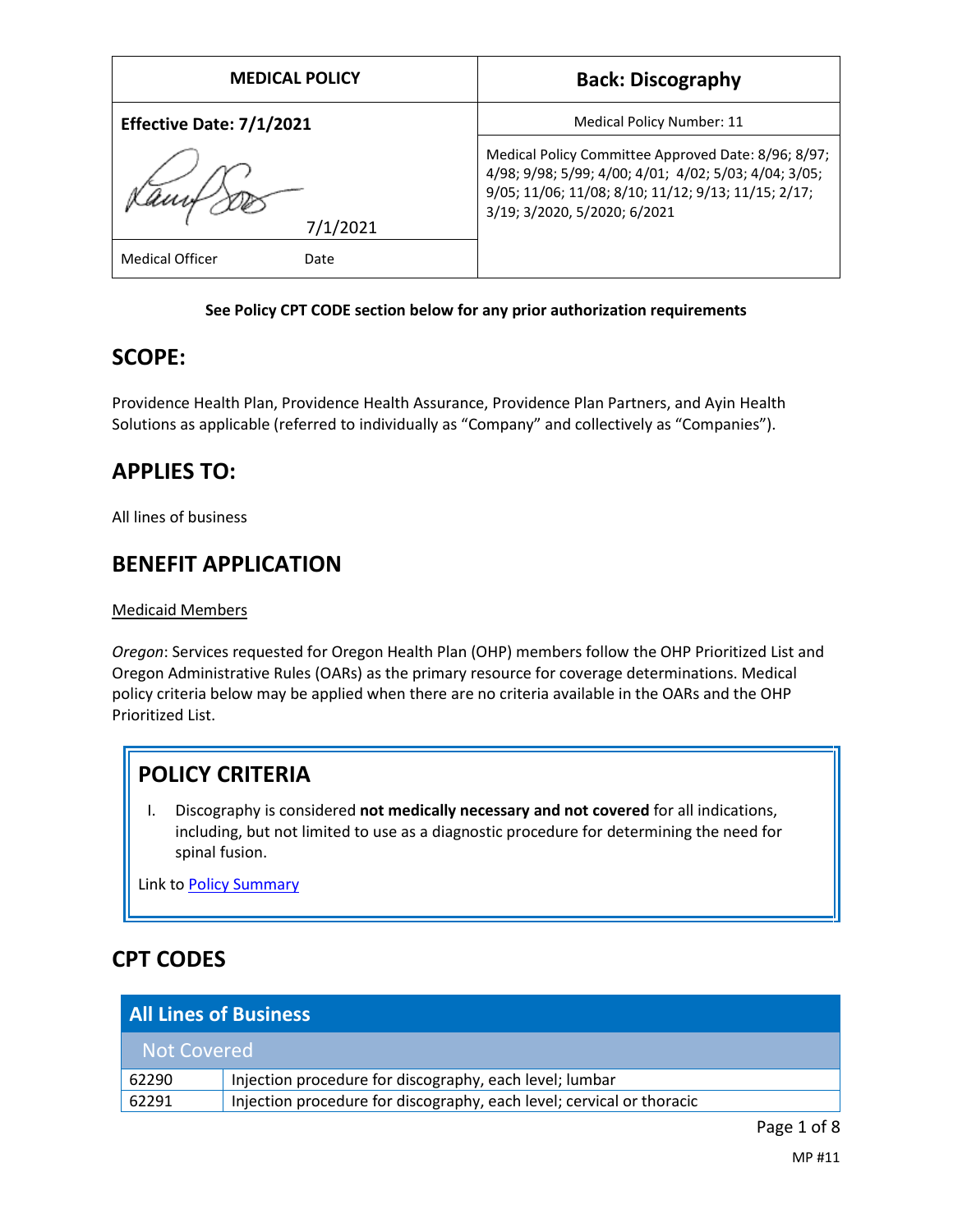| <b>MEDICAL POLICY</b>          | <b>Back: Discography</b>                                                                                                                                                                            |
|--------------------------------|-----------------------------------------------------------------------------------------------------------------------------------------------------------------------------------------------------|
| Effective Date: 7/1/2021       | Medical Policy Number: 11                                                                                                                                                                           |
| 7/1/2021                       | Medical Policy Committee Approved Date: 8/96; 8/97;<br>4/98; 9/98; 5/99; 4/00; 4/01; 4/02; 5/03; 4/04; 3/05;<br>9/05; 11/06; 11/08; 8/10; 11/12; 9/13; 11/15; 2/17;<br>3/19; 3/2020, 5/2020; 6/2021 |
| <b>Medical Officer</b><br>Date |                                                                                                                                                                                                     |

## **See Policy CPT CODE section below for any prior authorization requirements**

## **SCOPE:**

Providence Health Plan, Providence Health Assurance, Providence Plan Partners, and Ayin Health Solutions as applicable (referred to individually as "Company" and collectively as "Companies").

# **APPLIES TO:**

All lines of business

# **BENEFIT APPLICATION**

Medicaid Members

*Oregon*: Services requested for Oregon Health Plan (OHP) members follow the OHP Prioritized List and Oregon Administrative Rules (OARs) as the primary resource for coverage determinations. Medical policy criteria below may be applied when there are no criteria available in the OARs and the OHP Prioritized List.

# **POLICY CRITERIA**

I. Discography is considered **not medically necessary and not covered** for all indications, including, but not limited to use as a diagnostic procedure for determining the need for spinal fusion.

Link to [Policy Summary](#page-6-0)

# **CPT CODES**

| <b>All Lines of Business</b> |                                                                       |  |
|------------------------------|-----------------------------------------------------------------------|--|
| <b>Not Covered</b>           |                                                                       |  |
| 62290                        | Injection procedure for discography, each level; lumbar               |  |
| 62291                        | Injection procedure for discography, each level; cervical or thoracic |  |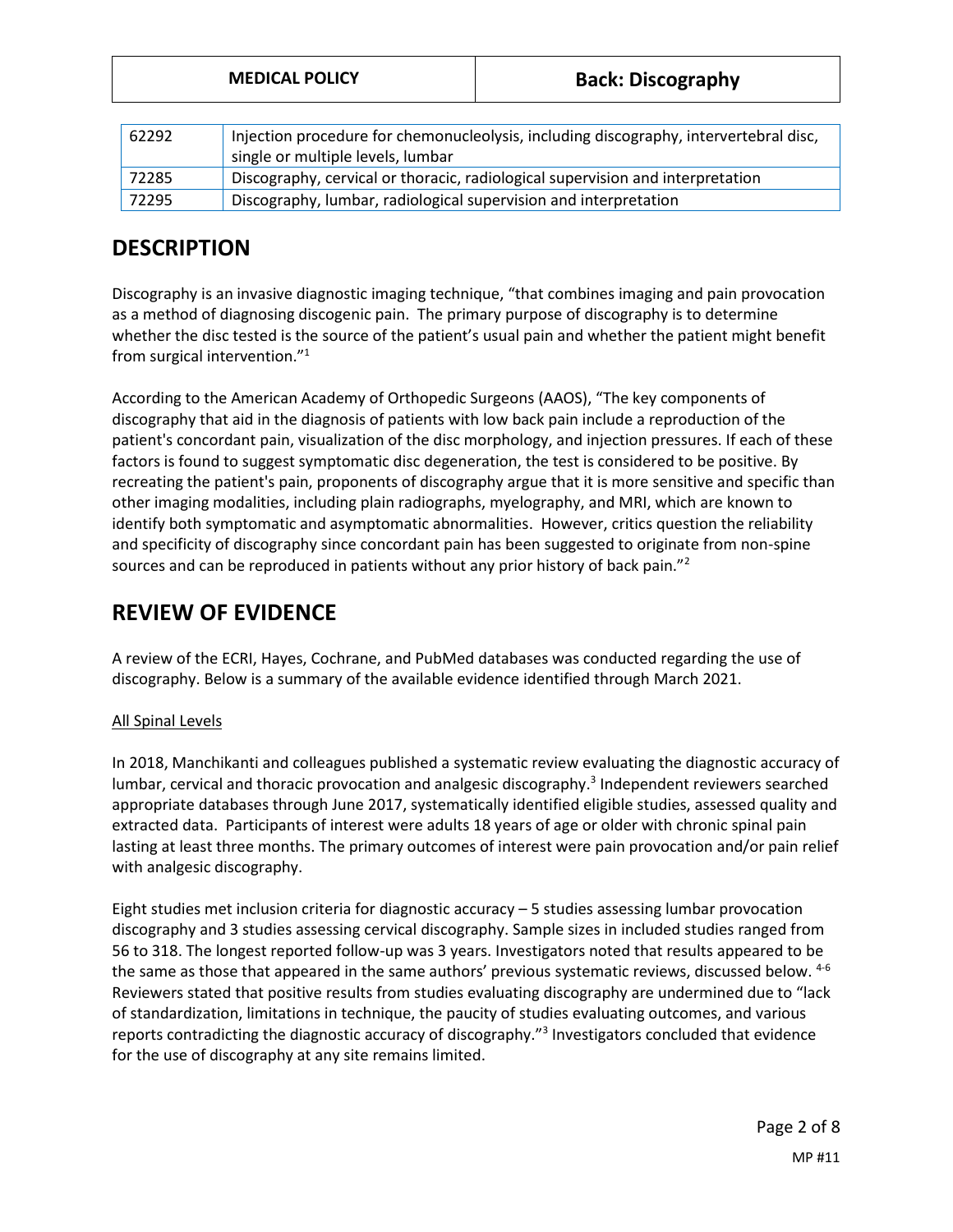|       | <b>MEDICAL POLICY</b>                                                                                                      | <b>Back: Discography</b> |
|-------|----------------------------------------------------------------------------------------------------------------------------|--------------------------|
|       |                                                                                                                            |                          |
| 62292 | Injection procedure for chemonucleolysis, including discography, intervertebral disc,<br>single or multiple levels, lumbar |                          |
| 72285 | Discography, cervical or thoracic, radiological supervision and interpretation                                             |                          |
| 72295 | Discography, lumbar, radiological supervision and interpretation                                                           |                          |

# **DESCRIPTION**

Discography is an invasive diagnostic imaging technique, "that combines imaging and pain provocation as a method of diagnosing discogenic pain. The primary purpose of discography is to determine whether the disc tested is the source of the patient's usual pain and whether the patient might benefit from surgical intervention."<sup>1</sup>

According to the American Academy of Orthopedic Surgeons (AAOS), "The key components of discography that aid in the diagnosis of patients with low back pain include a reproduction of the patient's concordant pain, visualization of the disc morphology, and injection pressures. If each of these factors is found to suggest symptomatic disc degeneration, the test is considered to be positive. By recreating the patient's pain, proponents of discography argue that it is more sensitive and specific than other imaging modalities, including plain radiographs, myelography, and MRI, which are known to identify both symptomatic and asymptomatic abnormalities. However, critics question the reliability and specificity of discography since concordant pain has been suggested to originate from non-spine sources and can be reproduced in patients without any prior history of back pain."<sup>2</sup>

# **REVIEW OF EVIDENCE**

A review of the ECRI, Hayes, Cochrane, and PubMed databases was conducted regarding the use of discography. Below is a summary of the available evidence identified through March 2021.

## All Spinal Levels

In 2018, Manchikanti and colleagues published a systematic review evaluating the diagnostic accuracy of lumbar, cervical and thoracic provocation and analgesic discography.<sup>3</sup> Independent reviewers searched appropriate databases through June 2017, systematically identified eligible studies, assessed quality and extracted data. Participants of interest were adults 18 years of age or older with chronic spinal pain lasting at least three months. The primary outcomes of interest were pain provocation and/or pain relief with analgesic discography.

Eight studies met inclusion criteria for diagnostic accuracy – 5 studies assessing lumbar provocation discography and 3 studies assessing cervical discography. Sample sizes in included studies ranged from 56 to 318. The longest reported follow-up was 3 years. Investigators noted that results appeared to be the same as those that appeared in the same authors' previous systematic reviews, discussed below. <sup>4-6</sup> Reviewers stated that positive results from studies evaluating discography are undermined due to "lack of standardization, limitations in technique, the paucity of studies evaluating outcomes, and various reports contradicting the diagnostic accuracy of discography."<sup>3</sup> Investigators concluded that evidence for the use of discography at any site remains limited.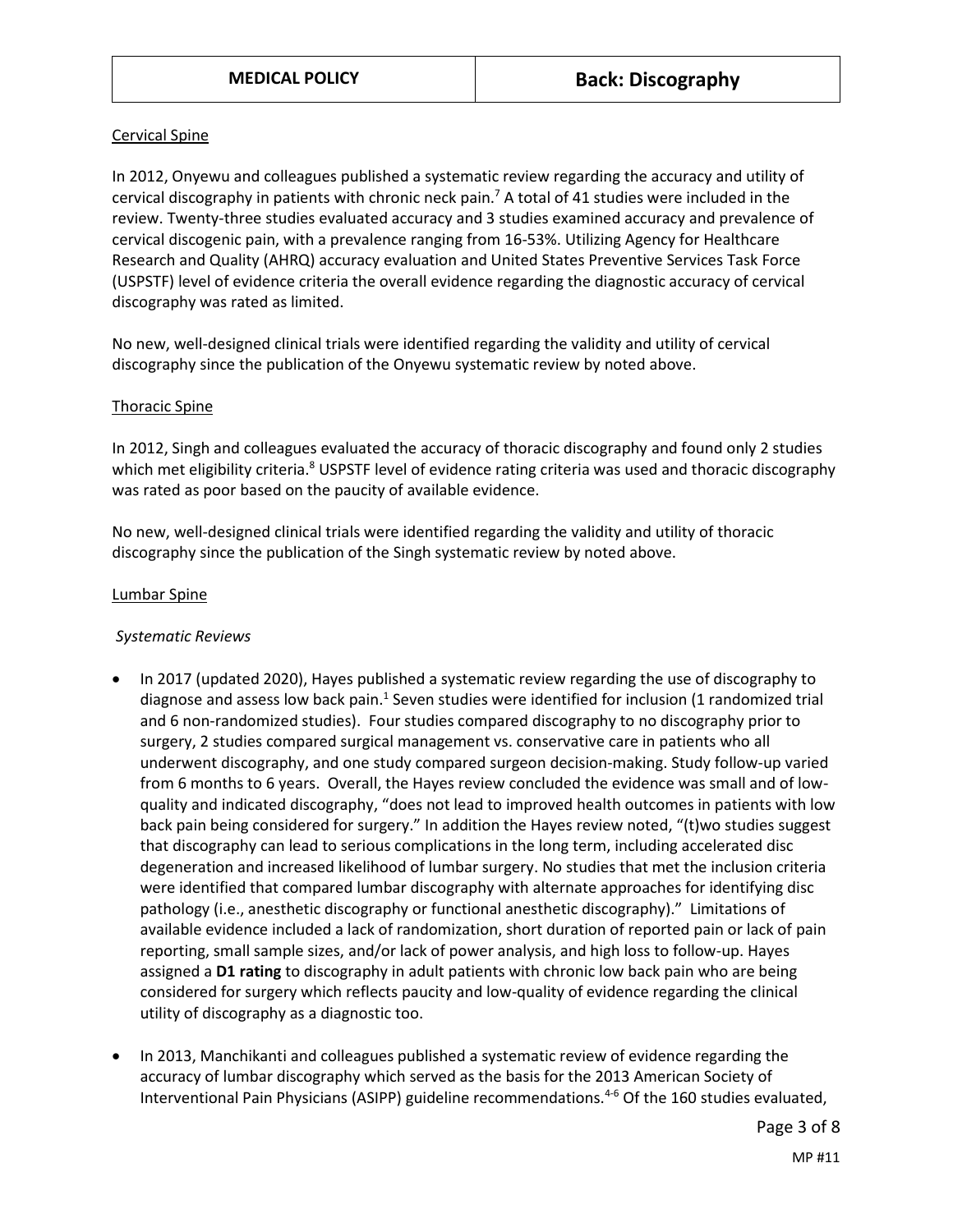## Cervical Spine

In 2012, Onyewu and colleagues published a systematic review regarding the accuracy and utility of cervical discography in patients with chronic neck pain.<sup>7</sup> A total of 41 studies were included in the review. Twenty-three studies evaluated accuracy and 3 studies examined accuracy and prevalence of cervical discogenic pain, with a prevalence ranging from 16-53%. Utilizing Agency for Healthcare Research and Quality (AHRQ) accuracy evaluation and United States Preventive Services Task Force (USPSTF) level of evidence criteria the overall evidence regarding the diagnostic accuracy of cervical discography was rated as limited.

No new, well-designed clinical trials were identified regarding the validity and utility of cervical discography since the publication of the Onyewu systematic review by noted above.

## Thoracic Spine

In 2012, Singh and colleagues evaluated the accuracy of thoracic discography and found only 2 studies which met eligibility criteria.<sup>8</sup> USPSTF level of evidence rating criteria was used and thoracic discography was rated as poor based on the paucity of available evidence.

No new, well-designed clinical trials were identified regarding the validity and utility of thoracic discography since the publication of the Singh systematic review by noted above.

### Lumbar Spine

## *Systematic Reviews*

- In 2017 (updated 2020), Hayes published a systematic review regarding the use of discography to diagnose and assess low back pain.<sup>1</sup> Seven studies were identified for inclusion (1 randomized trial and 6 non-randomized studies). Four studies compared discography to no discography prior to surgery, 2 studies compared surgical management vs. conservative care in patients who all underwent discography, and one study compared surgeon decision-making. Study follow-up varied from 6 months to 6 years. Overall, the Hayes review concluded the evidence was small and of lowquality and indicated discography, "does not lead to improved health outcomes in patients with low back pain being considered for surgery." In addition the Hayes review noted, "(t)wo studies suggest that discography can lead to serious complications in the long term, including accelerated disc degeneration and increased likelihood of lumbar surgery. No studies that met the inclusion criteria were identified that compared lumbar discography with alternate approaches for identifying disc pathology (i.e., anesthetic discography or functional anesthetic discography)." Limitations of available evidence included a lack of randomization, short duration of reported pain or lack of pain reporting, small sample sizes, and/or lack of power analysis, and high loss to follow-up. Hayes assigned a **D1 rating** to discography in adult patients with chronic low back pain who are being considered for surgery which reflects paucity and low-quality of evidence regarding the clinical utility of discography as a diagnostic too.
- In 2013, Manchikanti and colleagues published a systematic review of evidence regarding the accuracy of lumbar discography which served as the basis for the 2013 American Society of Interventional Pain Physicians (ASIPP) guideline recommendations.<sup>4-6</sup> Of the 160 studies evaluated,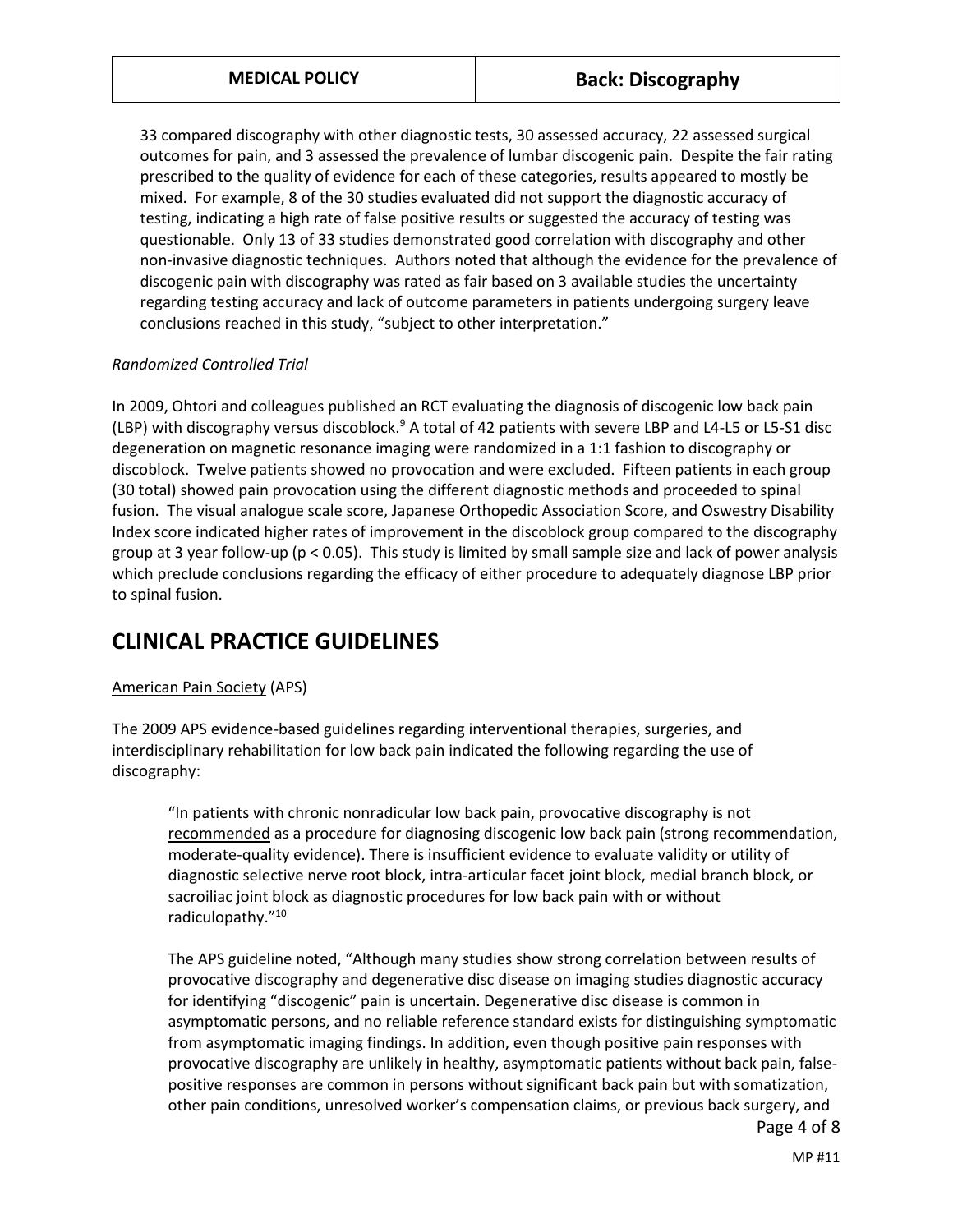33 compared discography with other diagnostic tests, 30 assessed accuracy, 22 assessed surgical outcomes for pain, and 3 assessed the prevalence of lumbar discogenic pain. Despite the fair rating prescribed to the quality of evidence for each of these categories, results appeared to mostly be mixed. For example, 8 of the 30 studies evaluated did not support the diagnostic accuracy of testing, indicating a high rate of false positive results or suggested the accuracy of testing was questionable. Only 13 of 33 studies demonstrated good correlation with discography and other non-invasive diagnostic techniques. Authors noted that although the evidence for the prevalence of discogenic pain with discography was rated as fair based on 3 available studies the uncertainty regarding testing accuracy and lack of outcome parameters in patients undergoing surgery leave conclusions reached in this study, "subject to other interpretation."

## *Randomized Controlled Trial*

In 2009, Ohtori and colleagues published an RCT evaluating the diagnosis of discogenic low back pain (LBP) with discography versus discoblock.<sup>9</sup> A total of 42 patients with severe LBP and L4-L5 or L5-S1 disc degeneration on magnetic resonance imaging were randomized in a 1:1 fashion to discography or discoblock. Twelve patients showed no provocation and were excluded. Fifteen patients in each group (30 total) showed pain provocation using the different diagnostic methods and proceeded to spinal fusion. The visual analogue scale score, Japanese Orthopedic Association Score, and Oswestry Disability Index score indicated higher rates of improvement in the discoblock group compared to the discography group at 3 year follow-up (p < 0.05). This study is limited by small sample size and lack of power analysis which preclude conclusions regarding the efficacy of either procedure to adequately diagnose LBP prior to spinal fusion.

## **CLINICAL PRACTICE GUIDELINES**

## American Pain Society (APS)

The 2009 APS evidence-based guidelines regarding interventional therapies, surgeries, and interdisciplinary rehabilitation for low back pain indicated the following regarding the use of discography:

"In patients with chronic nonradicular low back pain, provocative discography is not recommended as a procedure for diagnosing discogenic low back pain (strong recommendation, moderate-quality evidence). There is insufficient evidence to evaluate validity or utility of diagnostic selective nerve root block, intra-articular facet joint block, medial branch block, or sacroiliac joint block as diagnostic procedures for low back pain with or without radiculopathy."<sup>10</sup>

Page 4 of 8 The APS guideline noted, "Although many studies show strong correlation between results of provocative discography and degenerative disc disease on imaging studies diagnostic accuracy for identifying "discogenic" pain is uncertain. Degenerative disc disease is common in asymptomatic persons, and no reliable reference standard exists for distinguishing symptomatic from asymptomatic imaging findings. In addition, even though positive pain responses with provocative discography are unlikely in healthy, asymptomatic patients without back pain, falsepositive responses are common in persons without significant back pain but with somatization, other pain conditions, unresolved worker's compensation claims, or previous back surgery, and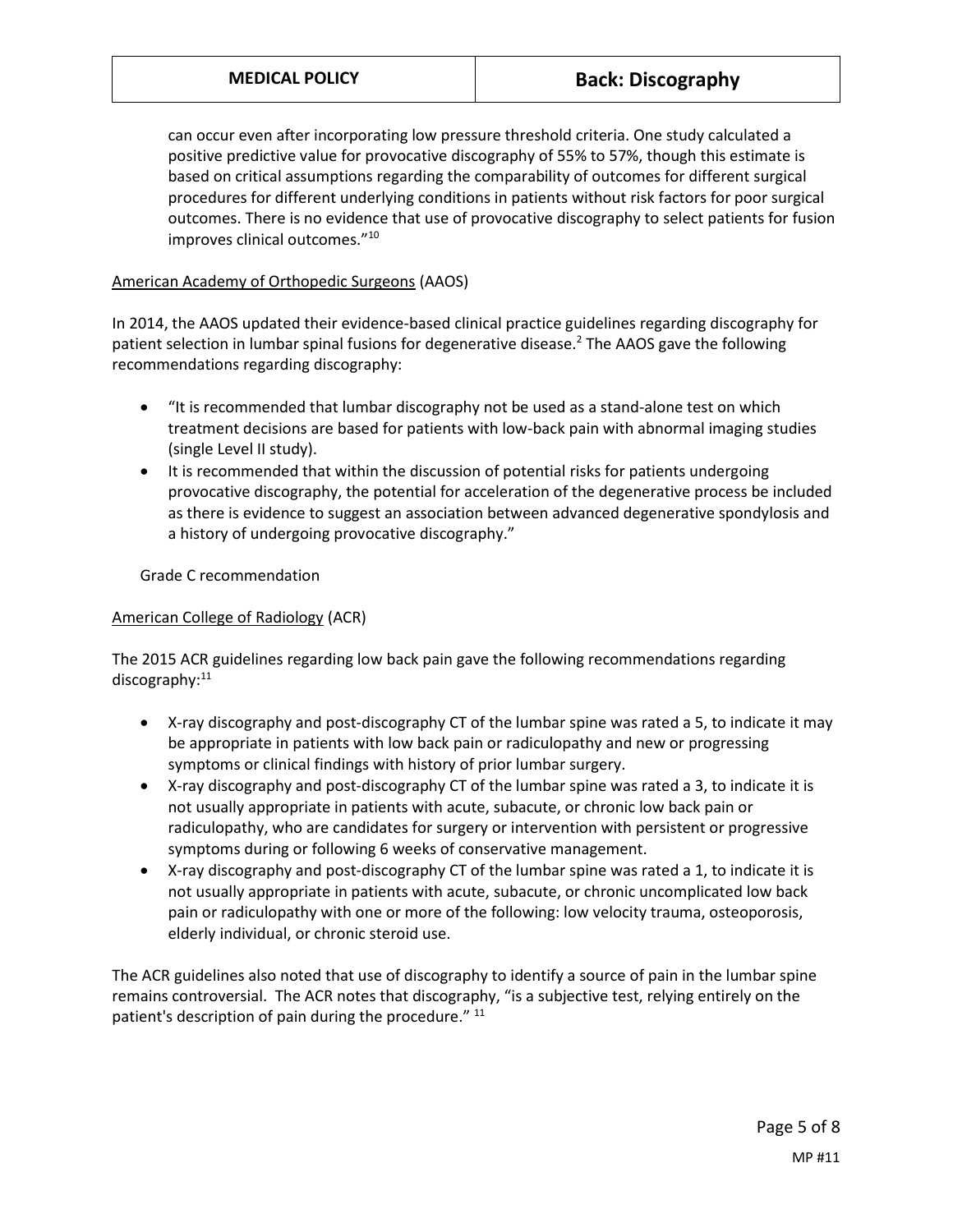can occur even after incorporating low pressure threshold criteria. One study calculated a positive predictive value for provocative discography of 55% to 57%, though this estimate is based on critical assumptions regarding the comparability of outcomes for different surgical procedures for different underlying conditions in patients without risk factors for poor surgical outcomes. There is no evidence that use of provocative discography to select patients for fusion improves clinical outcomes."<sup>10</sup>

## American Academy of Orthopedic Surgeons (AAOS)

In 2014, the AAOS updated their evidence-based clinical practice guidelines regarding discography for patient selection in lumbar spinal fusions for degenerative disease.<sup>2</sup> The AAOS gave the following recommendations regarding discography:

- "It is recommended that lumbar discography not be used as a stand-alone test on which treatment decisions are based for patients with low-back pain with abnormal imaging studies (single Level II study).
- It is recommended that within the discussion of potential risks for patients undergoing provocative discography, the potential for acceleration of the degenerative process be included as there is evidence to suggest an association between advanced degenerative spondylosis and a history of undergoing provocative discography."

Grade C recommendation

## American College of Radiology (ACR)

The 2015 ACR guidelines regarding low back pain gave the following recommendations regarding discography:<sup>11</sup>

- X-ray discography and post-discography CT of the lumbar spine was rated a 5, to indicate it may be appropriate in patients with low back pain or radiculopathy and new or progressing symptoms or clinical findings with history of prior lumbar surgery.
- X-ray discography and post-discography CT of the lumbar spine was rated a 3, to indicate it is not usually appropriate in patients with acute, subacute, or chronic low back pain or radiculopathy, who are candidates for surgery or intervention with persistent or progressive symptoms during or following 6 weeks of conservative management.
- X-ray discography and post-discography CT of the lumbar spine was rated a 1, to indicate it is not usually appropriate in patients with acute, subacute, or chronic uncomplicated low back pain or radiculopathy with one or more of the following: low velocity trauma, osteoporosis, elderly individual, or chronic steroid use.

The ACR guidelines also noted that use of discography to identify a source of pain in the lumbar spine remains controversial. The ACR notes that discography, "is a subjective test, relying entirely on the patient's description of pain during the procedure." <sup>11</sup>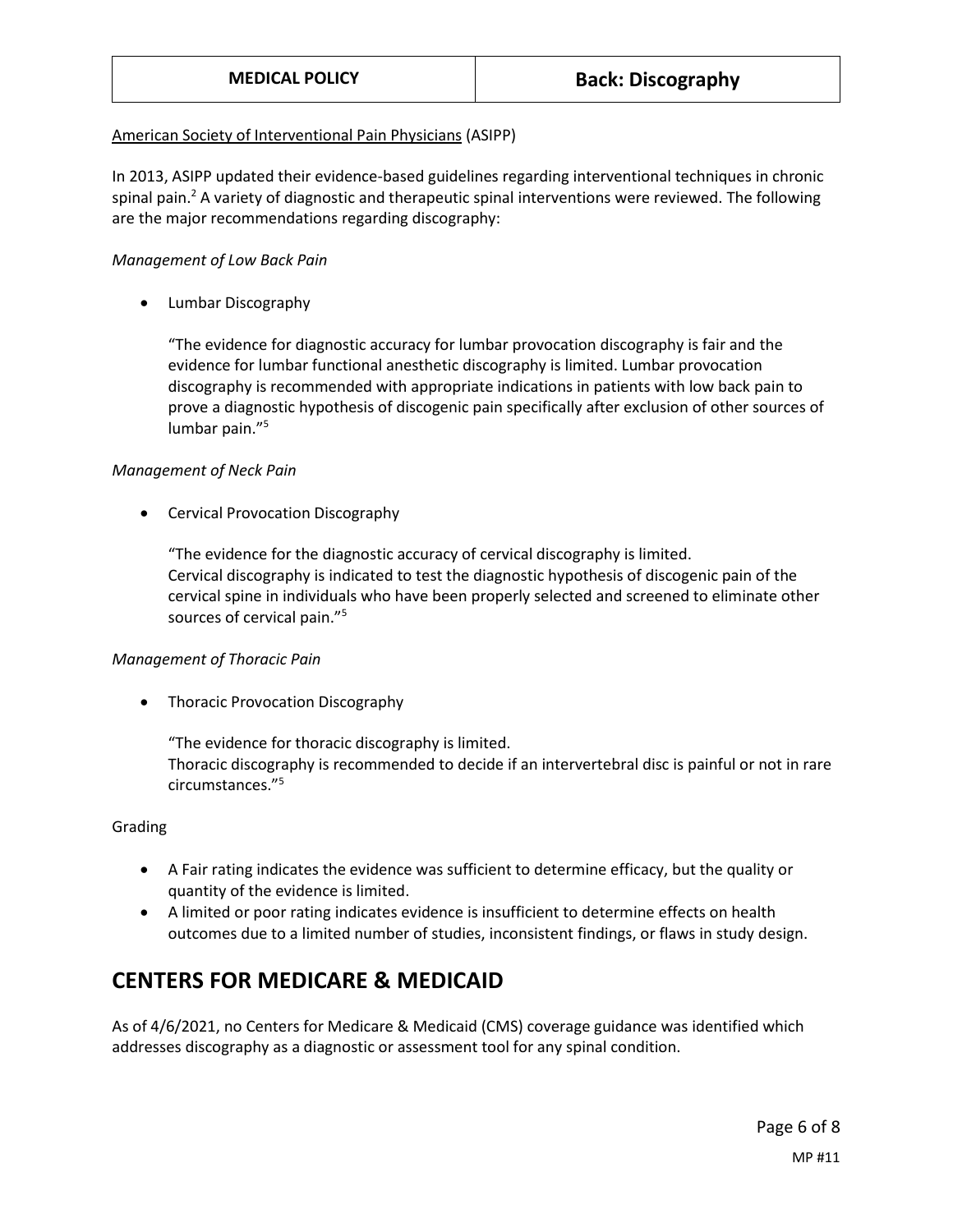## American Society of Interventional Pain Physicians (ASIPP)

In 2013, ASIPP updated their evidence-based guidelines regarding interventional techniques in chronic spinal pain.<sup>2</sup> A variety of diagnostic and therapeutic spinal interventions were reviewed. The following are the major recommendations regarding discography:

## *Management of Low Back Pain*

• Lumbar Discography

"The evidence for diagnostic accuracy for lumbar provocation discography is fair and the evidence for lumbar functional anesthetic discography is limited. Lumbar provocation discography is recommended with appropriate indications in patients with low back pain to prove a diagnostic hypothesis of discogenic pain specifically after exclusion of other sources of lumbar pain."<sup>5</sup>

## *Management of Neck Pain*

• Cervical Provocation Discography

"The evidence for the diagnostic accuracy of cervical discography is limited. Cervical discography is indicated to test the diagnostic hypothesis of discogenic pain of the cervical spine in individuals who have been properly selected and screened to eliminate other sources of cervical pain."<sup>5</sup>

## *Management of Thoracic Pain*

Thoracic Provocation Discography

"The evidence for thoracic discography is limited. Thoracic discography is recommended to decide if an intervertebral disc is painful or not in rare circumstances." 5

## Grading

- A Fair rating indicates the evidence was sufficient to determine efficacy, but the quality or quantity of the evidence is limited.
- A limited or poor rating indicates evidence is insufficient to determine effects on health outcomes due to a limited number of studies, inconsistent findings, or flaws in study design.

## **CENTERS FOR MEDICARE & MEDICAID**

As of 4/6/2021, no Centers for Medicare & Medicaid (CMS) coverage guidance was identified which addresses discography as a diagnostic or assessment tool for any spinal condition.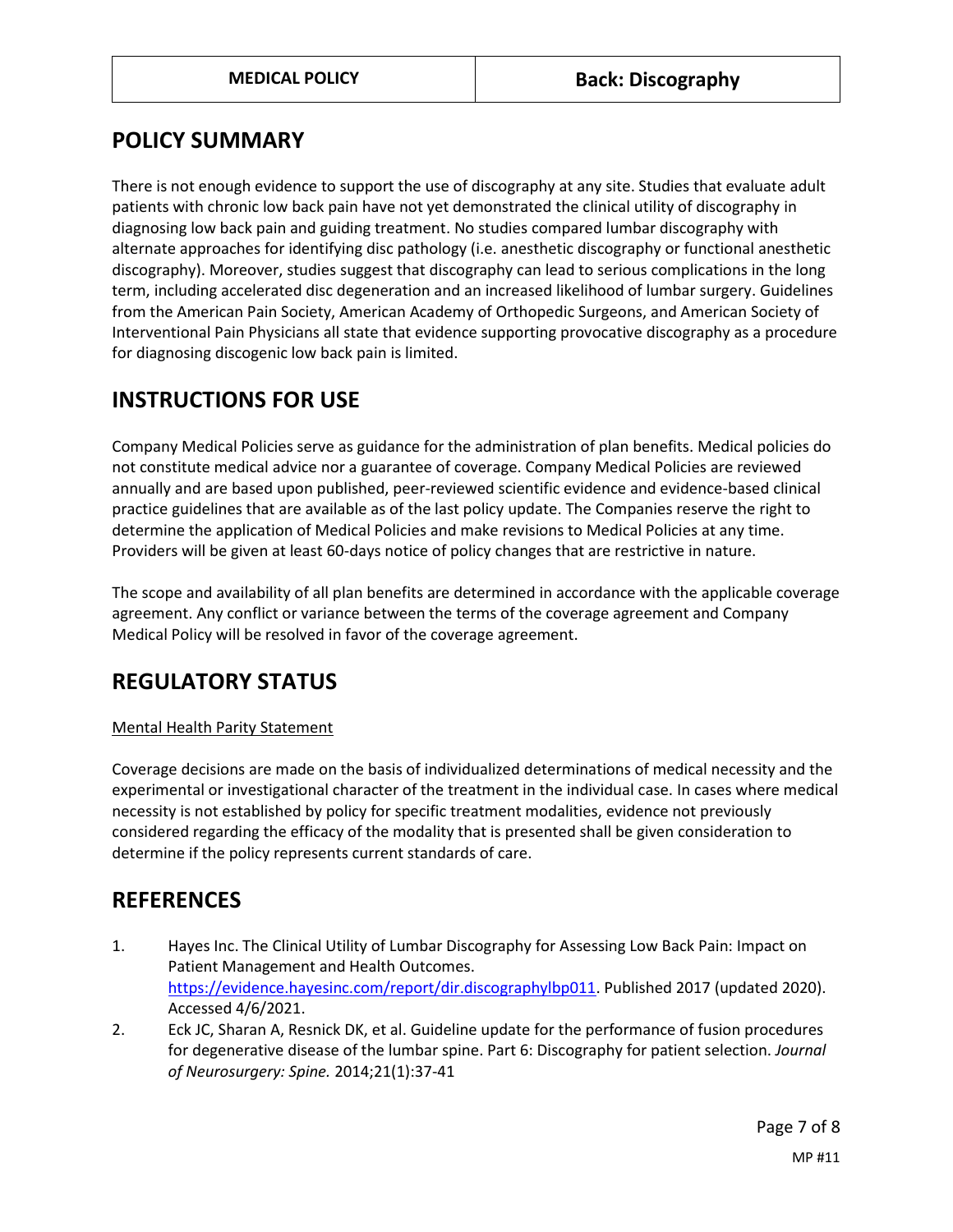# <span id="page-6-0"></span>**POLICY SUMMARY**

There is not enough evidence to support the use of discography at any site. Studies that evaluate adult patients with chronic low back pain have not yet demonstrated the clinical utility of discography in diagnosing low back pain and guiding treatment. No studies compared lumbar discography with alternate approaches for identifying disc pathology (i.e. anesthetic discography or functional anesthetic discography). Moreover, studies suggest that discography can lead to serious complications in the long term, including accelerated disc degeneration and an increased likelihood of lumbar surgery. Guidelines from the American Pain Society, American Academy of Orthopedic Surgeons, and American Society of Interventional Pain Physicians all state that evidence supporting provocative discography as a procedure for diagnosing discogenic low back pain is limited.

# **INSTRUCTIONS FOR USE**

Company Medical Policies serve as guidance for the administration of plan benefits. Medical policies do not constitute medical advice nor a guarantee of coverage. Company Medical Policies are reviewed annually and are based upon published, peer-reviewed scientific evidence and evidence-based clinical practice guidelines that are available as of the last policy update. The Companies reserve the right to determine the application of Medical Policies and make revisions to Medical Policies at any time. Providers will be given at least 60-days notice of policy changes that are restrictive in nature.

The scope and availability of all plan benefits are determined in accordance with the applicable coverage agreement. Any conflict or variance between the terms of the coverage agreement and Company Medical Policy will be resolved in favor of the coverage agreement.

# **REGULATORY STATUS**

## Mental Health Parity Statement

Coverage decisions are made on the basis of individualized determinations of medical necessity and the experimental or investigational character of the treatment in the individual case. In cases where medical necessity is not established by policy for specific treatment modalities, evidence not previously considered regarding the efficacy of the modality that is presented shall be given consideration to determine if the policy represents current standards of care.

## **REFERENCES**

- 1. Hayes Inc. The Clinical Utility of Lumbar Discography for Assessing Low Back Pain: Impact on Patient Management and Health Outcomes. [https://evidence.hayesinc.com/report/dir.discographylbp011.](https://evidence.hayesinc.com/report/dir.discographylbp011) Published 2017 (updated 2020). Accessed 4/6/2021.
- 2. Eck JC, Sharan A, Resnick DK, et al. Guideline update for the performance of fusion procedures for degenerative disease of the lumbar spine. Part 6: Discography for patient selection. *Journal of Neurosurgery: Spine.* 2014;21(1):37-41